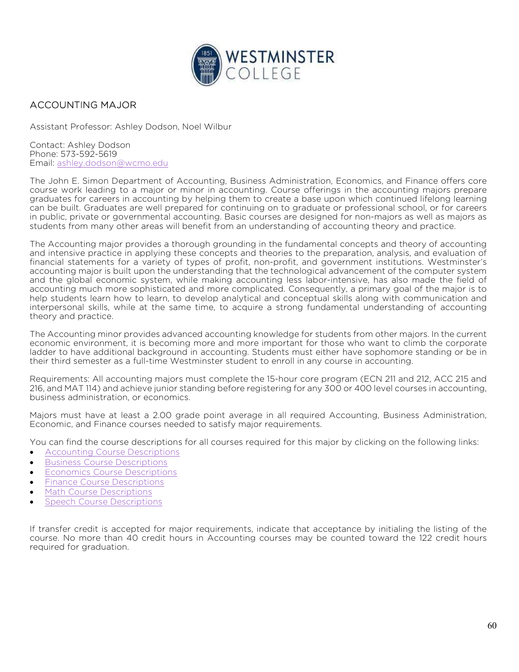

## ACCOUNTING MAJOR

Assistant Professor: Ashley Dodson, Noel Wilbur

Contact: Ashley Dodson Phone: 573-592-5619 Email: ashley.dodson@wcmo.edu

The John E. Simon Department of Accounting, Business Administration, Economics, and Finance offers core course work leading to a major or minor in accounting. Course offerings in the accounting majors prepare graduates for careers in accounting by helping them to create a base upon which continued lifelong learning can be built. Graduates are well prepared for continuing on to graduate or professional school, or for careers in public, private or governmental accounting. Basic courses are designed for non-majors as well as majors as students from many other areas will benefit from an understanding of accounting theory and practice.

The Accounting major provides a thorough grounding in the fundamental concepts and theory of accounting and intensive practice in applying these concepts and theories to the preparation, analysis, and evaluation of financial statements for a variety of types of profit, non-profit, and government institutions. Westminster's accounting major is built upon the understanding that the technological advancement of the computer system and the global economic system, while making accounting less labor-intensive, has also made the field of accounting much more sophisticated and more complicated. Consequently, a primary goal of the major is to help students learn how to learn, to develop analytical and conceptual skills along with communication and interpersonal skills, while at the same time, to acquire a strong fundamental understanding of accounting theory and practice.

The Accounting minor provides advanced accounting knowledge for students from other majors. In the current economic environment, it is becoming more and more important for those who want to climb the corporate ladder to have additional background in accounting. Students must either have sophomore standing or be in their third semester as a full-time Westminster student to enroll in any course in accounting.

Requirements: All accounting majors must complete the 15-hour core program (ECN 211 and 212, ACC 215 and 216, and MAT 114) and achieve junior standing before registering for any 300 or 400 level courses in accounting, business administration, or economics.

Majors must have at least a 2.00 grade point average in all required Accounting, Business Administration, Economic, and Finance courses needed to satisfy major requirements.

You can find the course descriptions for all courses required for this major by clicking on the following links:

- Accounting Course Descriptions
- **Business Course Descriptions**
- **Economics Course Descriptions**
- **•** Finance Course Descriptions
- Math Course Descriptions
- Speech Course Descriptions

If transfer credit is accepted for major requirements, indicate that acceptance by initialing the listing of the course. No more than 40 credit hours in Accounting courses may be counted toward the 122 credit hours required for graduation.